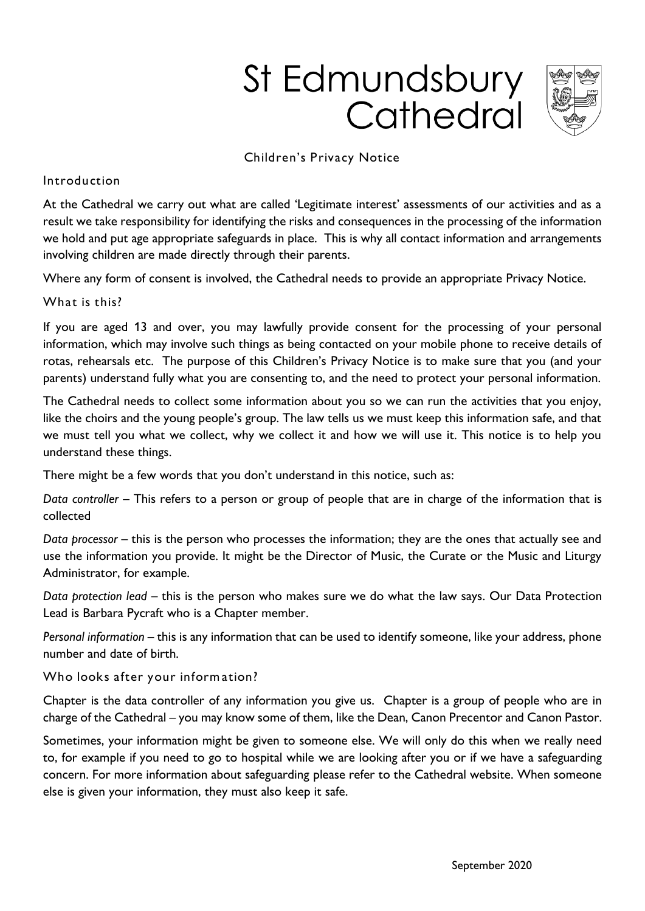# St Edmundsbury Cathedral



#### Children's Privacy Notice

#### Introduction

At the Cathedral we carry out what are called 'Legitimate interest' assessments of our activities and as a result we take responsibility for identifying the risks and consequences in the processing of the information we hold and put age appropriate safeguards in place. This is why all contact information and arrangements involving children are made directly through their parents.

Where any form of consent is involved, the Cathedral needs to provide an appropriate Privacy Notice.

What is this?

If you are aged 13 and over, you may lawfully provide consent for the processing of your personal information, which may involve such things as being contacted on your mobile phone to receive details of rotas, rehearsals etc. The purpose of this Children's Privacy Notice is to make sure that you (and your parents) understand fully what you are consenting to, and the need to protect your personal information.

The Cathedral needs to collect some information about you so we can run the activities that you enjoy, like the choirs and the young people's group. The law tells us we must keep this information safe, and that we must tell you what we collect, why we collect it and how we will use it. This notice is to help you understand these things.

There might be a few words that you don't understand in this notice, such as:

*Data controller* – This refers to a person or group of people that are in charge of the information that is collected

*Data processor* – this is the person who processes the information; they are the ones that actually see and use the information you provide. It might be the Director of Music, the Curate or the Music and Liturgy Administrator, for example.

*Data protection lead* – this is the person who makes sure we do what the law says. Our Data Protection Lead is Barbara Pycraft who is a Chapter member.

*Personal information* – this is any information that can be used to identify someone, like your address, phone number and date of birth.

Who looks after your information?

Chapter is the data controller of any information you give us. Chapter is a group of people who are in charge of the Cathedral – you may know some of them, like the Dean, Canon Precentor and Canon Pastor.

Sometimes, your information might be given to someone else. We will only do this when we really need to, for example if you need to go to hospital while we are looking after you or if we have a safeguarding concern. For more information about safeguarding please refer to the Cathedral website. When someone else is given your information, they must also keep it safe.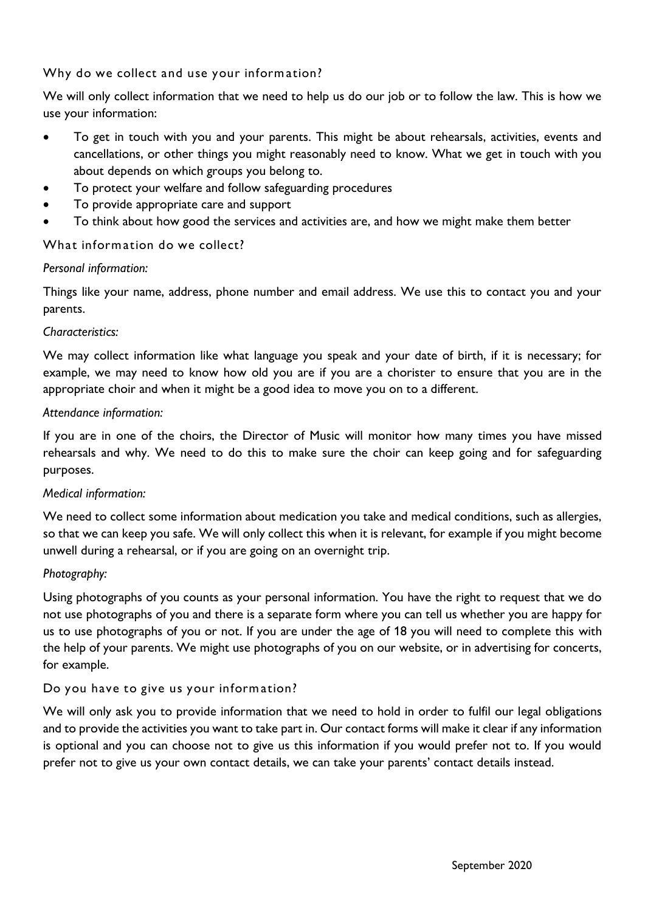Why do we collect and use your information?

We will only collect information that we need to help us do our job or to follow the law. This is how we use your information:

- To get in touch with you and your parents. This might be about rehearsals, activities, events and cancellations, or other things you might reasonably need to know. What we get in touch with you about depends on which groups you belong to.
- To protect your welfare and follow safeguarding procedures
- To provide appropriate care and support
- To think about how good the services and activities are, and how we might make them better

## What information do we collect?

## *Personal information:*

Things like your name, address, phone number and email address. We use this to contact you and your parents.

#### *Characteristics:*

We may collect information like what language you speak and your date of birth, if it is necessary; for example, we may need to know how old you are if you are a chorister to ensure that you are in the appropriate choir and when it might be a good idea to move you on to a different.

#### *Attendance information:*

If you are in one of the choirs, the Director of Music will monitor how many times you have missed rehearsals and why. We need to do this to make sure the choir can keep going and for safeguarding purposes.

## *Medical information:*

We need to collect some information about medication you take and medical conditions, such as allergies, so that we can keep you safe. We will only collect this when it is relevant, for example if you might become unwell during a rehearsal, or if you are going on an overnight trip.

## *Photography:*

Using photographs of you counts as your personal information. You have the right to request that we do not use photographs of you and there is a separate form where you can tell us whether you are happy for us to use photographs of you or not. If you are under the age of 18 you will need to complete this with the help of your parents. We might use photographs of you on our website, or in advertising for concerts, for example.

## Do you have to give us your inform ation?

We will only ask you to provide information that we need to hold in order to fulfil our legal obligations and to provide the activities you want to take part in. Our contact forms will make it clear if any information is optional and you can choose not to give us this information if you would prefer not to. If you would prefer not to give us your own contact details, we can take your parents' contact details instead.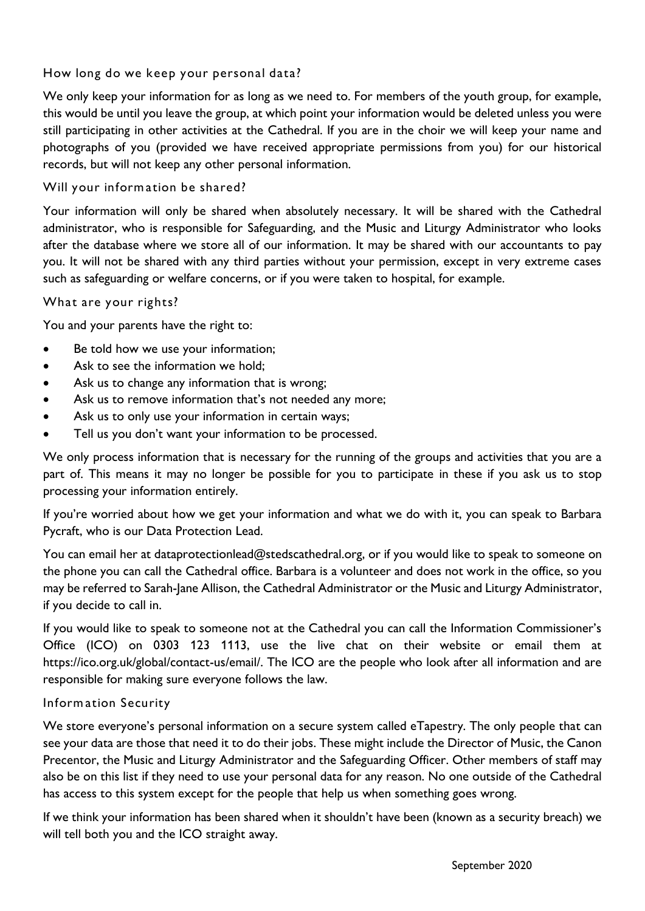# How long do we keep your personal data?

We only keep your information for as long as we need to. For members of the youth group, for example, this would be until you leave the group, at which point your information would be deleted unless you were still participating in other activities at the Cathedral. If you are in the choir we will keep your name and photographs of you (provided we have received appropriate permissions from you) for our historical records, but will not keep any other personal information.

# Will your information be shared?

Your information will only be shared when absolutely necessary. It will be shared with the Cathedral administrator, who is responsible for Safeguarding, and the Music and Liturgy Administrator who looks after the database where we store all of our information. It may be shared with our accountants to pay you. It will not be shared with any third parties without your permission, except in very extreme cases such as safeguarding or welfare concerns, or if you were taken to hospital, for example.

## What are your rights?

You and your parents have the right to:

- Be told how we use your information;
- Ask to see the information we hold;
- Ask us to change any information that is wrong;
- Ask us to remove information that's not needed any more;
- Ask us to only use your information in certain ways;
- Tell us you don't want your information to be processed.

We only process information that is necessary for the running of the groups and activities that you are a part of. This means it may no longer be possible for you to participate in these if you ask us to stop processing your information entirely.

If you're worried about how we get your information and what we do with it, you can speak to Barbara Pycraft, who is our Data Protection Lead.

You can email her at dataprotectionlead@stedscathedral.org, or if you would like to speak to someone on the phone you can call the Cathedral office. Barbara is a volunteer and does not work in the office, so you may be referred to Sarah-Jane Allison, the Cathedral Administrator or the Music and Liturgy Administrator, if you decide to call in.

If you would like to speak to someone not at the Cathedral you can call the Information Commissioner's Office (ICO) on 0303 123 1113, use the live chat on their website or email them at https://ico.org.uk/global/contact-us/email/. The ICO are the people who look after all information and are responsible for making sure everyone follows the law.

## Inform ation Security

We store everyone's personal information on a secure system called eTapestry. The only people that can see your data are those that need it to do their jobs. These might include the Director of Music, the Canon Precentor, the Music and Liturgy Administrator and the Safeguarding Officer. Other members of staff may also be on this list if they need to use your personal data for any reason. No one outside of the Cathedral has access to this system except for the people that help us when something goes wrong.

If we think your information has been shared when it shouldn't have been (known as a security breach) we will tell both you and the ICO straight away.